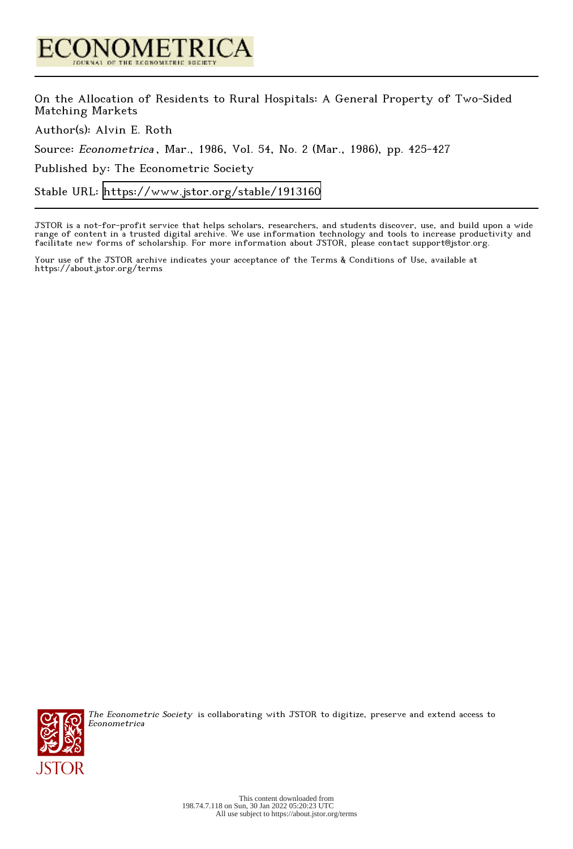

On the Allocation of Residents to Rural Hospitals: A General Property of Two-Sided Matching Markets

Author(s): Alvin E. Roth

Source: Econometrica , Mar., 1986, Vol. 54, No. 2 (Mar., 1986), pp. 425-427

Published by: The Econometric Society

Stable URL:<https://www.jstor.org/stable/1913160>

JSTOR is a not-for-profit service that helps scholars, researchers, and students discover, use, and build upon a wide range of content in a trusted digital archive. We use information technology and tools to increase productivity and facilitate new forms of scholarship. For more information about JSTOR, please contact support@jstor.org.

Your use of the JSTOR archive indicates your acceptance of the Terms & Conditions of Use, available at https://about.jstor.org/terms



The Econometric Society is collaborating with JSTOR to digitize, preserve and extend access to Econometrica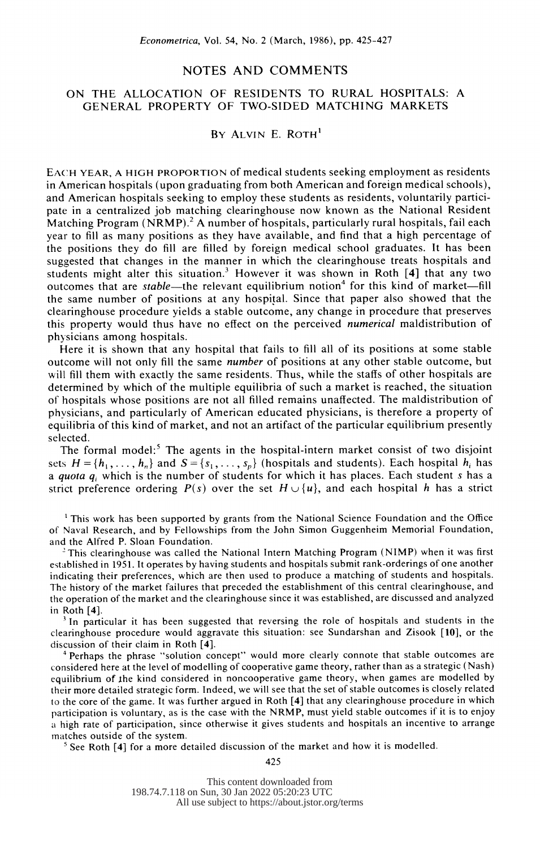## NOTES AND COMMENTS

## ON THE ALLOCATION OF RESIDENTS TO RURAL HOSPITALS: A GENERAL PROPERTY OF TWO-SIDED MATCHING MARKETS

# BY ALVIN E. ROTH'

 EACH YEAR, A HIGH PROPORTION of medical students seeking employment as residents in American hospitals (upon graduating from both American and foreign medical schools), and American hospitals seeking to employ these students as residents, voluntarily partici pate in a centralized job matching clearinghouse now known as the National Resident Matching Program (NRMP).<sup>2</sup> A number of hospitals, particularly rural hospitals, fail each year to fill as many positions as they have available, and find that a high percentage of the positions they do fill are filled by foreign medical school graduates. It has been suggested that changes in the manner in which the clearinghouse treats hospitals and students might alter this situation.<sup>3</sup> However it was shown in Roth  $[4]$  that any two outcomes that are *stable*—the relevant equilibrium notion<sup>4</sup> for this kind of market—fill the same number of positions at any hospital. Since that paper also showed that the clearinghouse procedure yields a stable outcome, any change in procedure that preserves this property would thus have no effect on the perceived numerical maldistribution of physicians among hospitals.

 Here it is shown that any hospital that fails to fill all of its positions at some stable outcome will not only fill the same number of positions at any other stable outcome, but will fill them with exactly the same residents. Thus, while the staffs of other hospitals are determined by which of the multiple equilibria of such a market is reached, the situation of hospitals whose positions are not all filled remains unaffected. The maldistribution of phvsicians, and particularly of American educated physicians, is therefore a property of equilibria of this kind of market, and not an artifact of the particular equilibrium presently selected.

The formal model:<sup>5</sup> The agents in the hospital-intern market consist of two disjoint sets  $H = \{h_1, \ldots, h_n\}$  and  $S = \{s_1, \ldots, s_n\}$  (hospitals and students). Each hospital  $h_i$  has a quota  $q_i$  which is the number of students for which it has places. Each student s has a strict preference ordering  $P(s)$  over the set  $H \cup \{u\}$ , and each hospital h has a strict

<sup>1</sup> This work has been supported by grants from the National Science Foundation and the Office of Naval Research, and by Fellowships from the John Simon Guggenheim Memorial Foundation, and the Alfred P. Sloan Foundation.

This clearinghouse was called the National Intern Matching Program (NIMP) when it was first established in 1951. It operates by having students and hospitals submit rank-orderings of one another indicating their preferences, which are then used to produce a matching of students and hospitals. The history of the market failures that preceded the establishment of this central clearinghouse, and the operation of the market and the clearinghouse since it was established, are discussed and analyzed in Roth [4].

 $3$  In particular it has been suggested that reversing the role of hospitals and students in the clearinghouse procedure would aggravate this situation: see Sundarshan and Zisook [10], or the discussion of their claim in Roth [4].

<sup>4</sup> Perhaps the phrase "solution concept" would more clearly connote that stable outcomes are considered here at the level of modelling of cooperative game theory, rather than as a strategic (Nash) equilibrium of the kind considered in noncooperative game theory, when games are modelled by their more detailed strategic form. Indeed, we will see that the set of stable outcomes is closely related to the core of the game. It was further argued in Roth [4] that any clearinghouse procedure in which participation is voluntary, as is the case with the NRMP, must yield stable outcomes if it is to enjoy a high rate of participation, since otherwise it gives students and hospitals an incentive to arrange matches outside of the system.

 $5$  See Roth [4] for a more detailed discussion of the market and how it is modelled.

425

This content downloaded from 198.74.7.118 on Sun, 30 Jan 2022 05:20:23 UTC All use subject to https://about.jstor.org/terms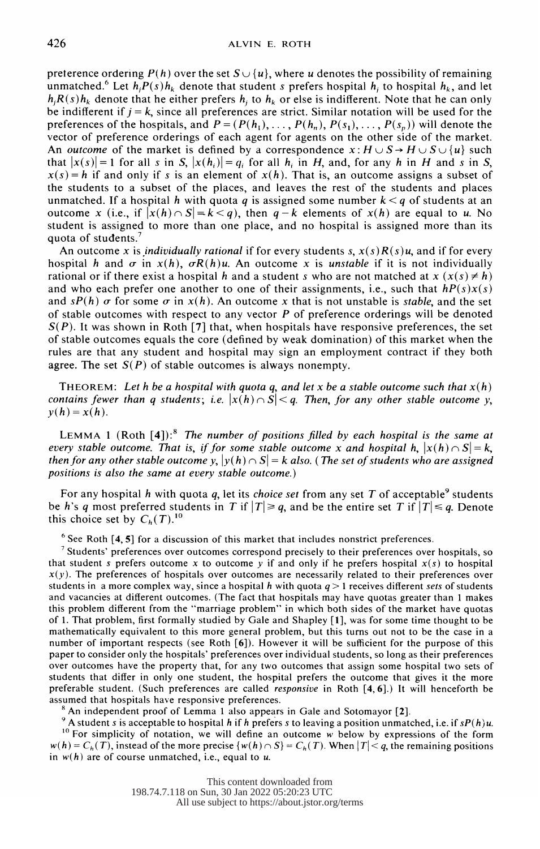preterence ordering  $P(h)$  over the set  $S \cup \{u\}$ , where u denotes the possibility of remaining unmatched.<sup>6</sup> Let  $h_i P(s) h_k$  denote that student s prefers hospital  $h_i$  to hospital  $h_k$ , and let  $h_i R(s)h_k$  denote that he either prefers  $h_i$  to  $h_k$  or else is indifferent. Note that he can only be indifferent if  $j = k$ , since all preferences are strict. Similar notation will be used for the preferences of the hospitals, and  $P = (P(h_1), \ldots, P(h_n), P(s_1), \ldots, P(s_n))$  will denote the vector of preference orderings of each agent for agents on the other side of the market. An *outcome* of the market is defined by a correspondence  $x: H \cup S \rightarrow H \cup S \cup \{u\}$  such that  $|x(s)| = 1$  for all s in S,  $|x(h_i)| = q_i$  for all h<sub>i</sub> in H, and, for any h in H and s in S,  $x(s) = h$  if and only if s is an element of  $x(h)$ . That is, an outcome assigns a subset of the students to a subset of the places, and leaves the rest of the students and places unmatched. If a hospital h with quota q is assigned some number  $k < q$  of students at an outcome x (i.e., if  $|x(h) \cap S| = k < q$ ), then  $q-k$  elements of  $x(h)$  are equal to u. No student is assigned to more than one place, and no hospital is assigned more than its quota of students.<sup>7</sup>

An outcome x is *individually rational* if for every students s,  $x(s)R(s)u$ , and if for every hospital h and  $\sigma$  in  $x(h)$ ,  $\sigma R(h)u$ . An outcome x is unstable if it is not individually rational or if there exist a hospital h and a student s who are not matched at  $x (x(s) \neq h)$ and who each prefer one another to one of their assignments, i.e., such that  $hP(s)x(s)$ and  $sP(h)$   $\sigma$  for some  $\sigma$  in  $x(h)$ . An outcome x that is not unstable is *stable*, and the set of stable outcomes with respect to any vector  $P$  of preference orderings will be denoted  $S(P)$ . It was shown in Roth [7] that, when hospitals have responsive preferences, the set of stable outcomes equals the core (defined by weak domination) of this market when the rules are that any student and hospital may sign an employment contract if they both agree. The set  $S(P)$  of stable outcomes is always nonempty.

THEOREM: Let h be a hospital with quota q, and let x be a stable outcome such that  $x(h)$ contains fewer than q students; i.e.  $|x(h) \cap S| < q$ . Then, for any other stable outcome y,  $y(h) = x(h)$ .

LEMMA 1 (Roth  $[4]$ ):<sup>8</sup> The number of positions filled by each hospital is the same at every stable outcome. That is, if for some stable outcome x and hospital h,  $|x(h) \cap S| = k$ , then for any other stable outcome  $y, |y(h) \cap S| = k$  also. (The set of students who are assigned positions is also the same at every stable outcome.)

For any hospital h with quota q, let its *choice set* from any set T of acceptable<sup>9</sup> students be h's q most preferred students in T if  $|T| \ge q$ , and be the entire set T if  $|T| \le q$ . Denote this choice set by  $C_h(T)$ .<sup>10</sup>

 $6$  See Roth  $[4, 5]$  for a discussion of this market that includes nonstrict preferences.

<sup>7</sup> Students' preferences over outcomes correspond precisely to their preferences over hospitals, so that student s prefers outcome x to outcome y if and only if he prefers hospital  $x(s)$  to hospital  $x(y)$ . The preferences of hospitals over outcomes are necessarily related to their preferences over students in a more complex way, since a hospital h with quota  $q > 1$  receives different sets of students and vacancies at different outcomes. (The fact that hospitals may have quotas greater than 1 makes this problem different from the "marriage problem" in which both sides of the market have quotas of 1. That problem, first formally studied by Gale and Shapley [1], was for some time thought to be mathematically equivalent to this more general problem, but this turns out not to be the case in a number of important respects (see Roth [6]). However it will be sufficient for the purpose of this paper to consider only the hospitals' preferences over individual students, so long as their preferences over outcomes have the property that, for any two outcomes that assign some hospital two sets of students that differ in only one student, the hospital prefers the outcome that gives it the more preferable student. (Such preferences are called responsive in Roth [4, 6].) It will henceforth be assumed that hospitals have responsive preferences.

<sup>8</sup> An independent proof of Lemma 1 also appears in Gale and Sotomayor [2].

9 A student s is acceptable to hospital h if h prefers s to leaving a position unmatched, i.e. if  $sP(h)u$ .  $10$  For simplicity of notation, we will define an outcome w below by expressions of the form  $w(h) = C_h(T)$ , instead of the more precise  $\{w(h) \cap S\} = C_h(T)$ . When  $|T| < q$ , the remaining positions in  $w(h)$  are of course unmatched, i.e., equal to u.